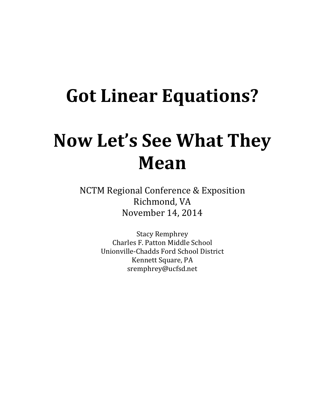# **Got Linear Equations?**

# **Now Let's See What They Mean**

NCTM Regional Conference & Exposition Richmond, VA November 14, 2014

> Stacy Remphrey Charles F. Patton Middle School Unionville-Chadds Ford School District Kennett Square, PA sremphrey@ucfsd.net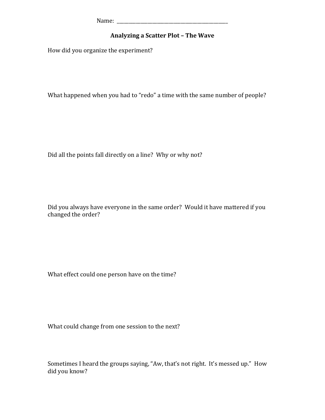Name: \_\_\_\_\_\_\_\_\_\_\_\_\_\_\_\_\_\_\_\_\_\_\_\_\_\_\_\_\_\_\_\_\_\_\_\_\_\_\_\_\_\_\_\_\_\_\_

#### **Analyzing a Scatter Plot - The Wave**

How did you organize the experiment?

What happened when you had to "redo" a time with the same number of people?

Did all the points fall directly on a line? Why or why not?

Did you always have everyone in the same order? Would it have mattered if you changed the order?

What effect could one person have on the time?

What could change from one session to the next?

Sometimes I heard the groups saying, "Aw, that's not right. It's messed up." How did you know?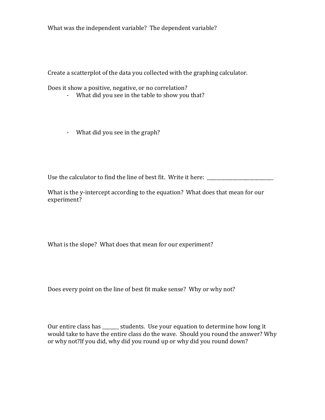What was the independent variable? The dependent variable?

Create a scatterplot of the data you collected with the graphing calculator.

Does it show a positive, negative, or no correlation?

- What did you see in the table to show you that?
- What did you see in the graph?

Use the calculator to find the line of best fit. Write it here: \_\_\_\_\_\_\_\_\_\_\_\_\_\_\_\_

What is the y-intercept according to the equation? What does that mean for our experiment?

What is the slope? What does that mean for our experiment?

Does every point on the line of best fit make sense? Why or why not?

Our entire class has \_\_\_\_\_\_\_ students. Use your equation to determine how long it would take to have the entire class do the wave. Should you round the answer? Why or why not?If you did, why did you round up or why did you round down?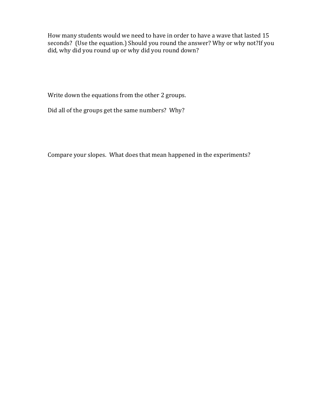How many students would we need to have in order to have a wave that lasted 15 seconds? (Use the equation.) Should you round the answer? Why or why not?If you did, why did you round up or why did you round down?

Write down the equations from the other 2 groups.

Did all of the groups get the same numbers? Why?

Compare your slopes. What does that mean happened in the experiments?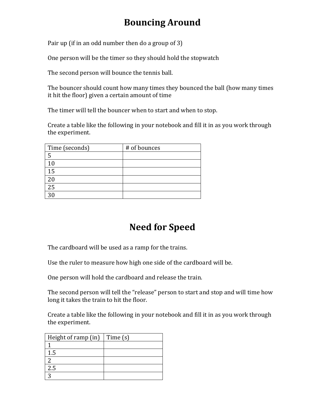### **Bouncing Around**

Pair up (if in an odd number then do a group of 3)

One person will be the timer so they should hold the stopwatch

The second person will bounce the tennis ball.

The bouncer should count how many times they bounced the ball (how many times it hit the floor) given a certain amount of time

The timer will tell the bouncer when to start and when to stop.

Create a table like the following in your notebook and fill it in as you work through the experiment.

| Time (seconds) | # of bounces |
|----------------|--------------|
| 5              |              |
| $\Omega$       |              |
| 15             |              |
|                |              |
| 25             |              |
|                |              |

### **Need for Speed**

The cardboard will be used as a ramp for the trains.

Use the ruler to measure how high one side of the cardboard will be.

One person will hold the cardboard and release the train.

The second person will tell the "release" person to start and stop and will time how long it takes the train to hit the floor.

Create a table like the following in your notebook and fill it in as you work through the experiment.

| Height of ramp $(in)$ Time $(s)$ |  |
|----------------------------------|--|
|                                  |  |
| 1.5                              |  |
|                                  |  |
| 2.5                              |  |
|                                  |  |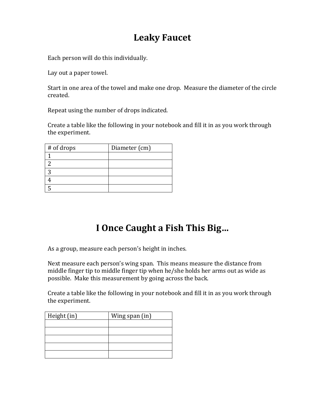### **Leaky Faucet**

Each person will do this individually.

Lay out a paper towel.

Start in one area of the towel and make one drop. Measure the diameter of the circle created. 

Repeat using the number of drops indicated.

Create a table like the following in your notebook and fill it in as you work through the experiment.

| # of drops | Diameter (cm) |
|------------|---------------|
|            |               |
|            |               |
|            |               |
|            |               |
|            |               |

### **I Once Caught a Fish This Big...**

As a group, measure each person's height in inches.

Next measure each person's wing span. This means measure the distance from middle finger tip to middle finger tip when he/she holds her arms out as wide as possible. Make this measurement by going across the back.

Create a table like the following in your notebook and fill it in as you work through the experiment.

| Height (in) | Wing span (in) |
|-------------|----------------|
|             |                |
|             |                |
|             |                |
|             |                |
|             |                |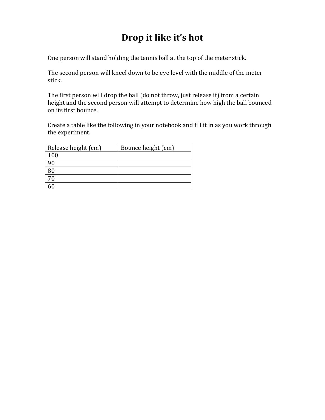## **Drop** it like it's hot

One person will stand holding the tennis ball at the top of the meter stick.

The second person will kneel down to be eye level with the middle of the meter stick.

The first person will drop the ball (do not throw, just release it) from a certain height and the second person will attempt to determine how high the ball bounced on its first bounce.

Create a table like the following in your notebook and fill it in as you work through the experiment.

| Release height (cm) | Bounce height (cm) |
|---------------------|--------------------|
| 100                 |                    |
|                     |                    |
|                     |                    |
| 70                  |                    |
|                     |                    |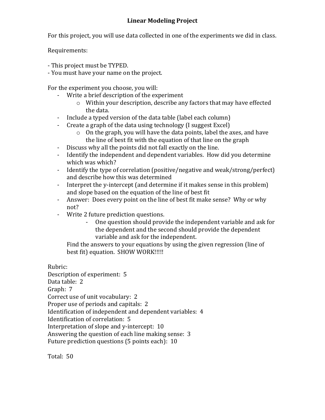For this project, you will use data collected in one of the experiments we did in class.

Requirements:

- This project must be TYPED.

- You must have your name on the project.

For the experiment you choose, you will:

- Write a brief description of the experiment
	- $\circ$  Within your description, describe any factors that may have effected the data.
- Include a typed version of the data table (label each column)
- Create a graph of the data using technology (I suggest Excel)
	- $\circ$  On the graph, you will have the data points, label the axes, and have the line of best fit with the equation of that line on the graph
- Discuss why all the points did not fall exactly on the line.
- Identify the independent and dependent variables. How did you determine which was which?
- Identify the type of correlation (positive/negative and weak/strong/perfect) and describe how this was determined
- Interpret the y-intercept (and determine if it makes sense in this problem) and slope based on the equation of the line of best fit
- Answer: Does every point on the line of best fit make sense? Why or why not?
- Write 2 future prediction questions.
	- One question should provide the independent variable and ask for the dependent and the second should provide the dependent variable and ask for the independent.

Find the answers to your equations by using the given regression (line of best fit) equation. SHOW WORK!!!!!

Rubric: 

Description of experiment: 5 Data table: 2 Graph: 7 Correct use of unit vocabulary: 2

Proper use of periods and capitals: 2

Identification of independent and dependent variables: 4

Identification of correlation: 5

Interpretation of slope and y-intercept: 10

Answering the question of each line making sense: 3

Future prediction questions  $(5$  points each):  $10$ 

Total: 50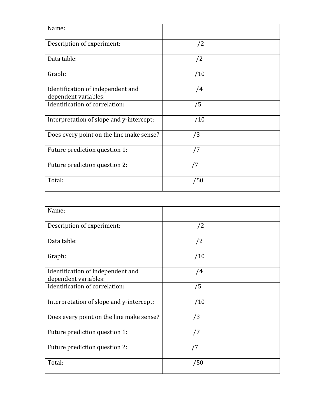| Name:                                                     |     |
|-----------------------------------------------------------|-----|
| Description of experiment:                                | /2  |
| Data table:                                               | /2  |
| Graph:                                                    | /10 |
| Identification of independent and<br>dependent variables: | /4  |
| Identification of correlation:                            | /5  |
| Interpretation of slope and y-intercept:                  | /10 |
| Does every point on the line make sense?                  | /3  |
| Future prediction question 1:                             | /7  |
| Future prediction question 2:                             | /7  |
| Total:                                                    | /50 |

| Name:                                                     |     |
|-----------------------------------------------------------|-----|
| Description of experiment:                                | /2  |
| Data table:                                               | /2  |
| Graph:                                                    | /10 |
| Identification of independent and<br>dependent variables: | /4  |
| Identification of correlation:                            | /5  |
| Interpretation of slope and y-intercept:                  | /10 |
| Does every point on the line make sense?                  | /3  |
| Future prediction question 1:                             | /7  |
| Future prediction question 2:                             | /7  |
| Total:                                                    | /50 |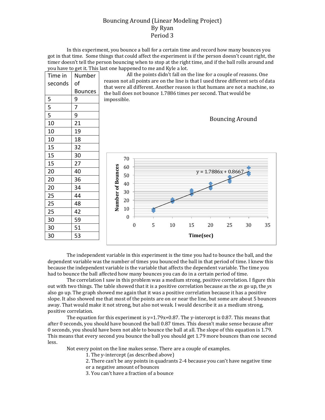#### Bouncing Around (Linear Modeling Project) By Ryan Period 3

In this experiment, you bounce a ball for a certain time and record how many bounces you got in that time. Some things that could affect the experiment is if the person doesn't count right, the timer doesn't tell the person bouncing when to stop at the right time, and if the ball rolls around and you have to get it. This last one happened to me and Kyle a lot.

| Time in | Number         | All the points didn't fall on the line for a couple of reasons. One                                                                                               |                  |  |   |    |           |    |                        |                        |    |
|---------|----------------|-------------------------------------------------------------------------------------------------------------------------------------------------------------------|------------------|--|---|----|-----------|----|------------------------|------------------------|----|
| seconds | of             | reason not all points are on the line is that I used three different sets of data<br>that were all different. Another reason is that humans are not a machine, so |                  |  |   |    |           |    |                        |                        |    |
|         | <b>Bounces</b> | the ball does not bounce 1.7886 times per second. That would be                                                                                                   |                  |  |   |    |           |    |                        |                        |    |
| 5       | 9              | impossible.                                                                                                                                                       |                  |  |   |    |           |    |                        |                        |    |
| 5       | 7              |                                                                                                                                                                   |                  |  |   |    |           |    |                        |                        |    |
| 5       | 9              |                                                                                                                                                                   |                  |  |   |    |           |    |                        | <b>Bouncing Around</b> |    |
| 10      | 21             |                                                                                                                                                                   |                  |  |   |    |           |    |                        |                        |    |
| 10      | 19             |                                                                                                                                                                   |                  |  |   |    |           |    |                        |                        |    |
| 10      | 18             |                                                                                                                                                                   |                  |  |   |    |           |    |                        |                        |    |
| 15      | 32             |                                                                                                                                                                   |                  |  |   |    |           |    |                        |                        |    |
| 15      | 30             |                                                                                                                                                                   | 70               |  |   |    |           |    |                        |                        |    |
| 15      | 27             |                                                                                                                                                                   | 60               |  |   |    |           |    |                        |                        |    |
| 20      | 40             |                                                                                                                                                                   |                  |  |   |    |           |    | $y = 1.7886x + 0.8667$ |                        |    |
| 20      | 36             |                                                                                                                                                                   | 50               |  |   |    |           |    |                        |                        |    |
| 20      | 34             |                                                                                                                                                                   | 40               |  |   |    |           |    |                        |                        |    |
| 25      | 44             | Number of Bounces                                                                                                                                                 | 30               |  |   |    |           |    |                        |                        |    |
| 25      | 48             |                                                                                                                                                                   | 20               |  |   |    |           |    |                        |                        |    |
| 25      | 42             |                                                                                                                                                                   | 10               |  |   |    |           |    |                        |                        |    |
| 30      | 59             |                                                                                                                                                                   | $\boldsymbol{0}$ |  |   |    |           |    |                        |                        |    |
| 30      | 51             |                                                                                                                                                                   | $\theta$         |  | 5 | 10 | 15        | 20 | 25                     | 30                     | 35 |
| 30      | 53             |                                                                                                                                                                   |                  |  |   |    | Time(sec) |    |                        |                        |    |
|         |                |                                                                                                                                                                   |                  |  |   |    |           |    |                        |                        |    |

The independent variable in this experiment is the time you had to bounce the ball, and the dependent variable was the number of times you bounced the ball in that period of time. I knew this because the independent variable is the variable that affects the dependent variable. The time you had to bounce the ball affected how many bounces you can do in a certain period of time.

The correlation I saw in this problem was a medium strong, positive correlation. I figure this out with two things. The table showed that it is a positive correlation because as the *xs* go up, the *ys* also go up. The graph showed me again that it was a positive correlation because it has a positive slope. It also showed me that most of the points are on or near the line, but some are about 5 bounces away. That would make it not strong, but also not weak. I would describe it as a medium strong, positive correlation.

The equation for this experiment is  $y=1.79x+0.87$ . The y-intercept is 0.87. This means that after 0 seconds, you should have bounced the ball 0.87 times. This doesn't make sense because after 0 seconds, you should have been not able to bounce the ball at all. The slope of this equation is 1.79. This means that every second you bounce the ball you should get 1.79 more bounces than one second less.

Not every point on the line makes sense. There are a couple of examples.

1. The y-intercept (as described above)

2. There can't be any points in quadrants 2-4 because you can't have negative time

or a negative amount of bounces

3. You can't have a fraction of a bounce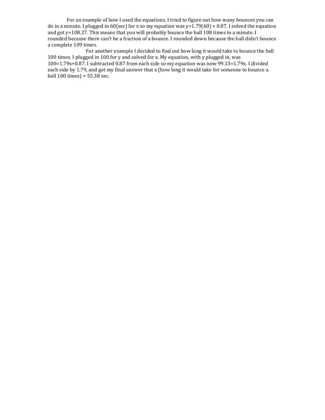For an example of how I used the equations, I tried to figure out how many bounces you can do in a minute. I plugged in 60(sec) for x so my equation was  $y=1.79(60) + 0.87$ . I solved the equation and got y=108.27. This means that you will probably bounce the ball 108 times in a minute. I rounded because there can't be a fraction of a bounce. I rounded down because the ball didn't bounce a complete 109 times.

For another example I decided to find out how long it would take to bounce the ball 100 times. I plugged in 100 for y and solved for x. My equation, with y plugged in, was  $100=1.79x+0.87$ . I subtracted 0.87 from each side so my equation was now 99.13=1.79x. I divided each side by 1.79, and got my final answer that x (how long it would take for someone to bounce a ball  $100 \text{ times}$  = 55.38 sec.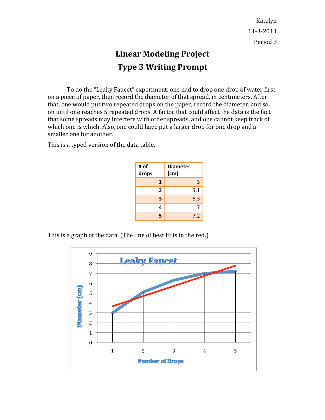Katelyn 11-3-2011 Period 3

### **Linear Modeling Project Type 3 Writing Prompt**

To do the "Leaky Faucet" experiment, one had to drop one drop of water first on a piece of paper, then record the diameter of that spread, in centimeters. After that, one would put two repeated drops on the paper, record the diameter, and so on until one reaches 5 repeated drops. A factor that could affect the data is the fact that some spreads may interfere with other spreads, and one cannot keep track of which one is which. Also, one could have put a larger drop for one drop and a smaller one for another.

This is a typed version of the data table.

| # of<br>drops  | <b>Diameter</b><br>(cm) |
|----------------|-------------------------|
| $\mathbf{1}$   | 3                       |
| $\overline{2}$ | 5.1                     |
| 3              | 6.3                     |
| 4              | 7                       |
| 5              | 7.2                     |

This is a graph of the data. (The line of best fit is in the red.)